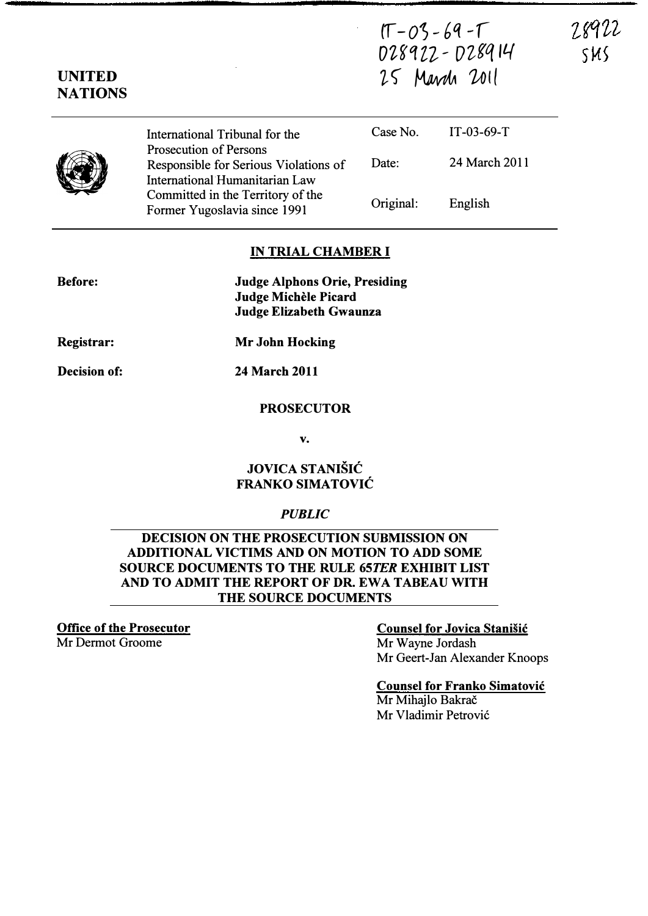$(T-03-69 - T)$ 028922 - 028914 25 March 2011

IT-03-69-T

English

24 March 2011

28922

SMS

**NATIONS** 

UNITED



Before:

International Tribunal for the Prosecution of Persons Responsible for Serious Violations of International Humanitarian Law Committed in the Territory of the Former Yugoslavia since 1991 Case No. Date: Original:

### IN TRIAL CHAMBER I

Judge Alphons Orie, Presiding Judge Michele Picard Judge Elizabeth Gwaunza

Registrar:

Decision of: 24 March 2011

Mr John Hocking

#### PROSECUTOR

v.

### JOVICA STANISIC FRANKO SIMATOVIC

#### PUBLIC

### DECISION ON THE PROSECUTION SUBMISSION ON ADDITIONAL VICTIMS AND ON MOTION TO ADD SOME SOURCE DOCUMENTS TO THE RULE 65TER EXHIBIT LIST AND TO ADMIT THE REPORT OF DR. EWA TABEAU WITH THE SOURCE DOCUMENTS

Office of the Prosecutor Mr Dermot Groome

## Counsel for Jovica Stanisic Mr Wayne Jordash

Mr Geert-Jan Alexander Knoops

# Counsel for Franko Simatovic

Mr Mihailo Bakrač Mr Vladimir Petrovic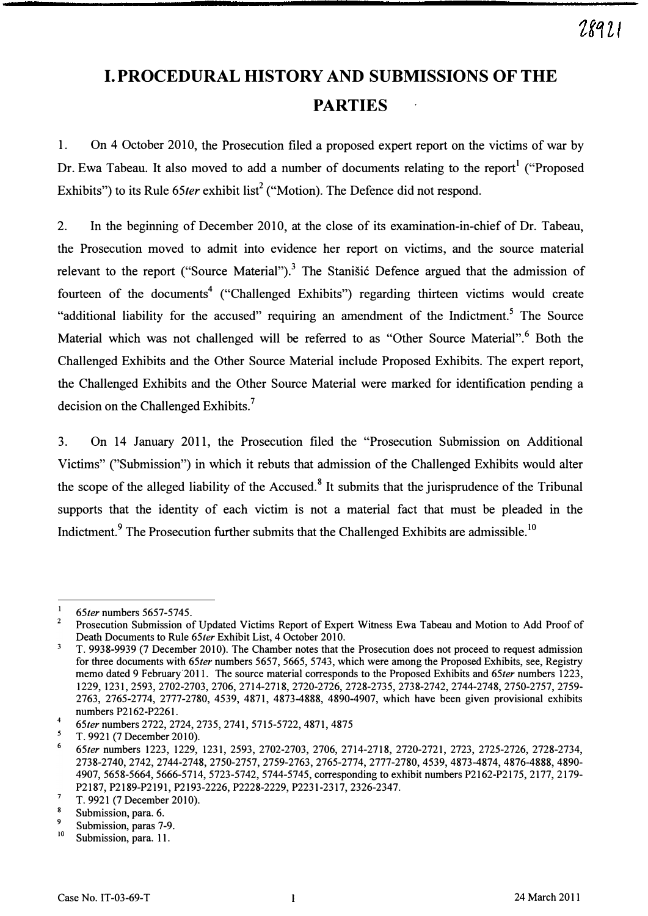# I. PROCEDURAL HISTORY AND SUBMISSIONS OF THE PARTIES

1. On 4 October 2010, the Prosecution filed a proposed expert report on the victims of war by Dr. Ewa Tabeau. It also moved to add a number of documents relating to the report<sup>1</sup> ("Proposed Exhibits") to its Rule  $65$ ter exhibit list<sup>2</sup> ("Motion). The Defence did not respond.

2. In the beginning of December 2010, at the close of its examination-in-chief of Dr. Tabeau, the Prosecution moved to admit into evidence her report on victims, and the source material relevant to the report ("Source Material").<sup>3</sup> The Stanisic Defence argued that the admission of fourteen of the documents<sup>4</sup> ("Challenged Exhibits") regarding thirteen victims would create "additional liability for the accused" requiring an amendment of the Indictment.<sup>5</sup> The Source Material which was not challenged will be referred to as "Other Source Material". Both the Challenged Exhibits and the Other Source Material include Proposed Exhibits. The expert report, the Challenged Exhibits and the Other Source Material were marked for identification pending a decision on the Challenged Exhibits.<sup>7</sup>

3. On 14 January 2011, the Prosecution filed the "Prosecution Submission on Additional Victims" ("Submission") in which it rebuts that admission of the Challenged Exhibits would alter the scope of the alleged liability of the Accused.<sup>8</sup> It submits that the jurisprudence of the Tribunal supports that the identity of each victim' is not a material fact that must be pleaded in the Indictment.<sup>9</sup> The Prosecution further submits that the Challenged Exhibits are admissible.<sup>10</sup>

 $\mathbf{1}$ 65ter numbers 5657-5745.

<sup>&</sup>lt;sup>2</sup> Prosecution Submission of Updated Victims Report of Expert Witness Ewa Tabeau and Motion to Add Proof of Death Documents to Rule 65ter Exhibit List, 4 October 2010.

 $\overline{\mathbf{3}}$ T. 9938-9939 (7 December 2010). The Chamber notes that the Prosecution does not proceed to request admission for three documents with 65ter numbers 5657, 5665, 5743, which were among the Proposed Exhibits, see, Registry memo dated 9 February 2011. The source material corresponds to the Proposed Exhibits and 65ter numbers 1223, 1229, 1231,2593,2702-2703,2706,2714-2718,2720-2726,2728-2735,2738-2742,2744-2748,2750-2757,2759- 2763, 2765-2774, 2777-2780, 4539, 4871, 4873-4888, 4890-4907, which have been given provisional exhibits numbers P2162-P2261.

<sup>4 65</sup>ter numbers 2722, 2724, 2735, 2741, 5715-5722, 4871, 4875

T. 9921 (7 December 2010).

<sup>6</sup>65ter numbers 1223, 1229, 1231,2593,2702-2703,2706,2714-2718,2720-2721, 2723, 2725-2726, 2728-2734, 2738-2740,2742,2744-2748,2750-2757,2759-2763,2765-2774,2777-2780,4539,4873-4874,4876-4888,4890- 4907, 5658-5664, 5666-5714, 5723-5742, 5744-5745, corresponding to exhibit numbers P2162-P2175, 2177, 2179- P2187,P2189-P2191,P2193-2226,P2228-2229,P2231-2317,2326-2347.

<sup>7</sup>T. 9921 (7 December 2010).

Submission, para. 6.

<sup>&</sup>lt;sup>9</sup> Submission, paras 7-9.

Submission, para. 11.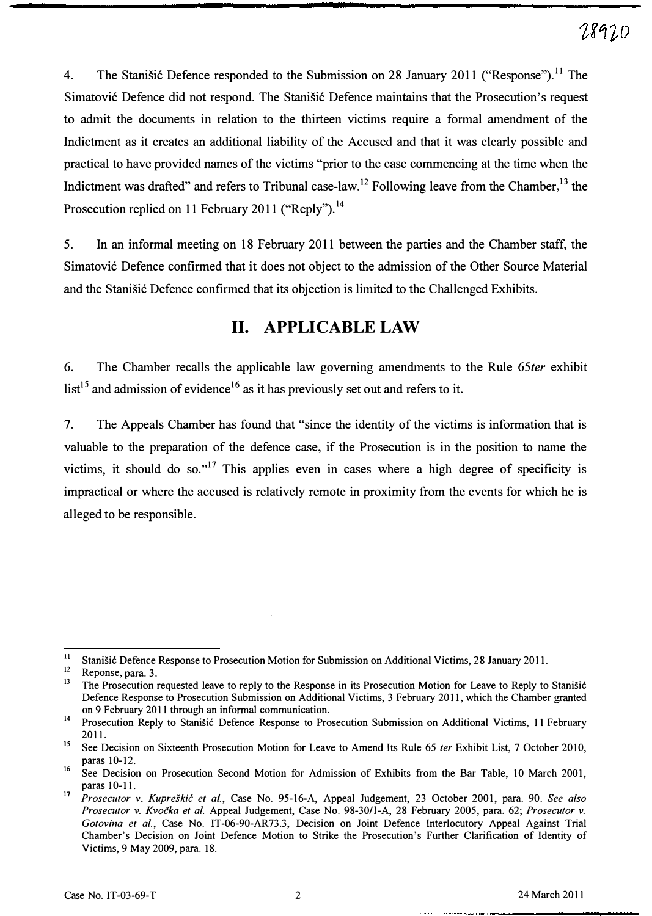4. The Stanišić Defence responded to the Submission on 28 January 2011 ("Response").<sup>11</sup> The Simatović Defence did not respond. The Stanišić Defence maintains that the Prosecution's request to admit the documents in relation to the thirteen victims require a formal amendment of the Indictment as it creates an additional liability of the Accused and that it was clearly possible and practical to have provided names of the victims "prior to the case commencing at the time when the Indictment was drafted" and refers to Tribunal case-law.<sup>12</sup> Following leave from the Chamber,<sup>13</sup> the Prosecution replied on 11 February 2011 ("Reply").<sup>14</sup>

5. In an informal meeting on 18 February 2011 between the parties and the Chamber staff, the Simatovi6 Defence confirmed that it does not object to the admission of the Other Source Material and the Stanišić Defence confirmed that its objection is limited to the Challenged Exhibits.

### 11. APPLICABLE LAW

6. The Chamber recalls the applicable law governing amendments to the Rule 65ter exhibit  $list^{15}$  and admission of evidence<sup>16</sup> as it has previously set out and refers to it.

7. The Appeals Chamber has found that "since the identity of the victims is information that is valuable to the preparation of the defence case, if the Prosecution is in the position to name the victims, it should do so."<sup>17</sup> This applies even in cases where a high degree of specificity is impractical or where the accused is relatively remote in proximity from the events for which he is alleged to be responsible.

<sup>&</sup>lt;sup>11</sup> Stanišić Defence Response to Prosecution Motion for Submission on Additional Victims, 28 January 2011.

 $12$  Reponse, para. 3.

<sup>13</sup>The Prosecution requested leave to reply to the Response in its Prosecution Motion for Leave to Reply to Stanisic Defence Response to Prosecution Submission on Additional Victims, 3 February 2011, which the Chamber granted on 9 February 2011 through an informal communication.

<sup>&</sup>lt;sup>14</sup> Prosecution Reply to Stanišić Defence Response to Prosecution Submission on Additional Victims, 11 February 2011.

<sup>&</sup>lt;sup>15</sup> See Decision on Sixteenth Prosecution Motion for Leave to Amend Its Rule 65 ter Exhibit List, 7 October 2010, paras 10-12.

<sup>&</sup>lt;sup>16</sup> See Decision on Prosecution Second Motion for Admission of Exhibits from the Bar Table, 10 March 2001, paras 10-11.

<sup>&</sup>lt;sup>17</sup> Prosecutor v. Kupreškić et al., Case No. 95-16-A, Appeal Judgement, 23 October 2001, para. 90. See also Prosecutor v. Kvočka et al. Appeal Judgement, Case No. 98-30/1-A, 28 February 2005, para. 62; Prosecutor v. Gotovina et al., Case No. IT-06-90-AR73.3, Decision on Joint Defence Interlocutory Appeal Against Trial Chamber's Decision on Joint Defence Motion to Strike the Prosecution's Further Clarification of Identity of Victims, 9 May 2009, para. 18.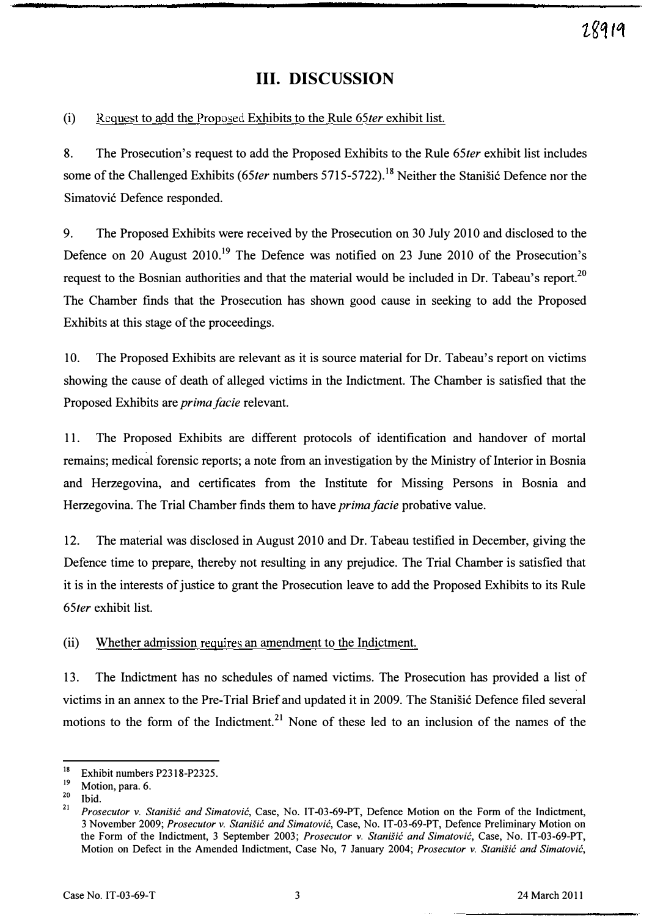### Ill. DISCUSSION

(i) Request to add the Proposed Exhibits to the Rule 65ter exhibit list.

8. The Prosecution's request to add the Proposed Exhibits to the Rule 65ter exhibit list includes some of the Challenged Exhibits (65ter numbers 5715-5722).<sup>18</sup> Neither the Stanišić Defence nor the Simatović Defence responded.

9. The Proposed Exhibits were received by the Prosecution on 30 July 2010 and disclosed to the Defence on 20 August 2010.<sup>19</sup> The Defence was notified on 23 June 2010 of the Prosecution's request to the Bosnian authorities and that the material would be included in Dr. Tabeau's report.<sup>20</sup> The Chamber finds that the Prosecution has shown good cause in seeking to add the Proposed Exhibits at this stage of the proceedings.

10. The Proposed Exhibits are relevant as it is source material for Dr. Tabeau's report on victims showing the cause of death of alleged victims in the Indictment. The Chamber is satisfied that the Proposed Exhibits are prima facie relevant.

11. The Proposed Exhibits are different protocols of identification and handover of mortal remains; medical forensic reports; a note from an investigation by the Ministry of Interior in Bosnia and Herzegovina, and certificates from the Institute for Missing Persons in Bosnia and Herzegovina. The Trial Chamber finds them to have *prima facie* probative value.

12. The material was disclosed in August 2010 and Dr. Tabeau testified in December, giving the Defence time to prepare, thereby not resulting in any prejudice. The Trial Chamber is satisfied that it is in the interests of justice to grant the Prosecution leave to add the Proposed Exhibits to its Rule 65ter exhibit list.

(ii) Whether admission requires an amendment to the Indictment.

13. The Indictment has no schedules of named victims. The Prosecution has provided a list of victims in an annex to the Pre-Trial Brief and updated it in 2009. The Stanišić Defence filed several motions to the form of the Indictment.<sup>21</sup> None of these led to an inclusion of the names of the

<sup>&</sup>lt;sup>18</sup><br>Exhibit numbers P2318-P2325.

 $\frac{19}{20}$  Motion, para. 6.

 $\frac{20}{21}$  Ibid.

Prosecutor v. Stanišić and Simatović, Case, No. IT-03-69-PT, Defence Motion on the Form of the Indictment, 3 November 2009; Prosecutor v. Stanisic and Simatovic, Case, No. IT-03-69-PT, Defence Preliminary Motion on the Form of the Indictment, 3 September 2003; Prosecutor v. Stanišić and Simatović, Case, No. IT-03-69-PT, Motion on Defect in the Amended Indictment, Case No, 7 January 2004; Prosecutor v. Stanišić and Simatović,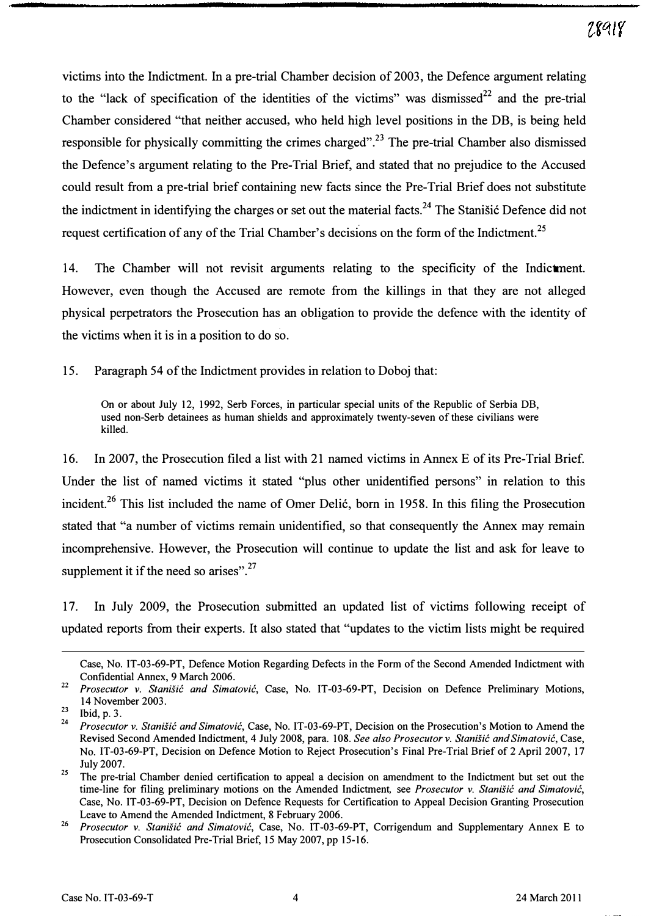victims into the Indictment. In a pre-trial Chamber decision of 2003, the Defence argument relating to the "lack of specification of the identities of the victims" was dismissed $^{22}$  and the pre-trial Chamber considered "that neither accused, who held high level positions in the DB, is being held responsible for physically committing the crimes charged".<sup>23</sup> The pre-trial Chamber also dismissed the Defence's argument relating to the Pre-Trial Brief, and stated that no prejudice to the Accused could result from a pre-trial brief containing new facts since the Pre-Trial Brief does not substitute the indictment in identifying the charges or set out the material facts.<sup>24</sup> The Stanisic Defence did not request certification of any of the Trial Chamber's decisions on the form of the Indictment.<sup>25</sup>

14. The Chamber will not revisit arguments relating to the specificity of the Indictment. However, even though the Accused are remote from the killings in that they are not alleged physical perpetrators the Prosecution has an obligation to provide the defence with the identity of the victims when it is in a position to do so.

15. Paragraph 54 of the Indictment provides in relation to Doboj that:

On or about July 12, 1992, Serb Forces, in particular special units of the Republic of Serbia DB, used non-Serb detainees as human shields and approximately twenty-seven of these civilians were killed.

16. In 2007, the Prosecution filed a list with 21 named victims in Annex E of its Pre-Trial Brief. Under the list of named victims it stated "plus other unidentified persons" in relation to this incident.<sup>26</sup> This list included the name of Omer Delić, born in 1958. In this filing the Prosecution stated that "a number of victims remain unidentified, so that consequently the Annex may remain incomprehensive. However, the Prosecution will continue to update the list and ask for leave to supplement it if the need so arises". $27$ 

17. In July 2009, the Prosecution submitted an updated list of victims following receipt of updated reports from their experts. It also stated that "updates to the victim lists might be required

Case, No. IT -03-69-PT, Defence Motion Regarding Defects in the Form of the Second Amended Indictment with Confidential Annex, 9 March 2006.

<sup>&</sup>lt;sup>22</sup> Prosecutor v. Stanišić and Simatović, Case, No. IT-03-69-PT, Decision on Defence Preliminary Motions, 14 November 2003.

 $\frac{23}{24}$  Ibid, p. 3.

Prosecutor v. Stanišić and Simatović, Case, No. IT-03-69-PT, Decision on the Prosecution's Motion to Amend the Revised Second Amended Indictment, 4 July 2008, para. 108. See also Prosecutor v. Stanišić and Simatović, Case, No. IT-03-69-PT, Decision on Defence Motion to Reject Prosecution's Final Pre-Trial Brief of 2 April 2007, 17 July 2007.

 $25$  The pre-trial Chamber denied certification to appeal a decision on amendment to the Indictment but set out the time-line for filing preliminary motions on the Amended Indictment, see Prosecutor v. Stanišić and Simatović, Case, No. IT-03-69-PT, Decision on Defence Requests for Certification to Appeal Decision Granting Prosecution Leave to Amend the Amended Indictment, 8 February 2006.

<sup>&</sup>lt;sup>26</sup> Prosecutor v. Stanišić and Simatović, Case, No. IT-03-69-PT, Corrigendum and Supplementary Annex E to Prosecution Consolidated Pre-Trial Brief, 15 May 2007, pp 15-16.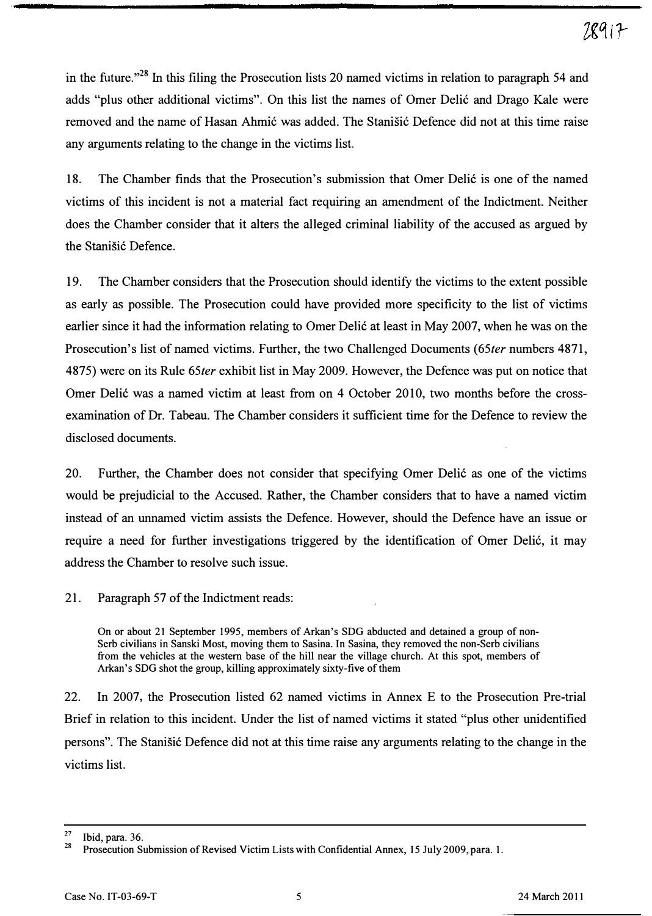in the future."<sup>28</sup> In this filing the Prosecution lists 20 named victims in relation to paragraph 54 and adds "plus other additional victims". On this list the names of Omer Delić and Drago Kale were removed and the name of Hasan Ahmić was added. The Stanisić Defence did not at this time raise any arguments relating to the change in the victims list.

18. The Chamber finds that the Prosecution's submission that Omer Deli6 is one of the named victims of this incident is not a material fact requiring an amendment of the Indictment. Neither does the Chamber consider that it alters the alleged criminal liability of the accused as argued by the Stanišić Defence.

19. The Chamber considers that the Prosecution should identify the victims to the extent possible as early as possible. The Prosecution could have provided more specificity to the list of victims earlier since it had the information relating to Omer Delić at least in May 2007, when he was on the Prosecution's list of named victims. Further, the two Challenged Documents (65ter numbers 4871, 4875) were on its Rule 65ter exhibit list in May 2009. However, the Defence was put on notice that Omer Delić was a named victim at least from on 4 October 2010, two months before the crossexamination of Dr. Tabeau. The Chamber considers it sufficient time for the Defence to review the disclosed documents.

20. Further, the Chamber does not consider that specifying Omer Deli6 as one of the victims would be prejudicial to the Accused. Rather, the Chamber considers that to have a named victim instead of an unnamed victim assists the Defence. However, should the Defence have an issue or require a need for further investigations triggered by the identification of Omer Delić, it may address the Chamber to resolve such issue.

21. Paragraph 57 of the Indictment reads:

On or about 21 September 1995, members of Arkan's SDG abducted and detained a group of non-Serb civilians in Sanski Most, moving them to Sasina. In Sasina, they removed the non-Serb civilians from the vehicles at the western base of the hill near the village church. At this spot, members of Arkan's SDG shot the group, killing approximately sixty-five of them

22. In 2007, the Prosecution listed 62 named victims in Annex E to the Prosecution Pre-trial Brief in relation to this incident. Under the list of named victims it stated "plus other unidentified persons". The Stanišić Defence did not at this time raise any arguments relating to the change in the victims list.

 $rac{27}{28}$  Ibid, para. 36.

<sup>28</sup>Prosecution Submission of Revised Victim Lists with Confidential Annex, 15 July 2009, para. 1.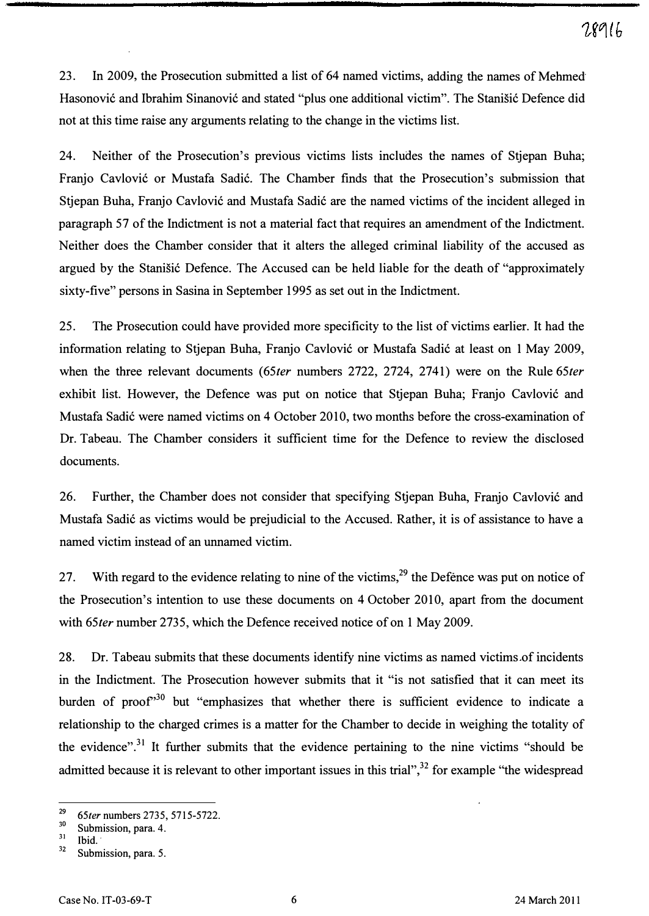23. In 2009, the Prosecution submitted a list of 64 named victims, adding the names of Mehmed Hasonović and Ibrahim Sinanović and stated "plus one additional victim". The Stanišić Defence did not at this time raise any arguments relating to the change in the victims list.

24. Neither of the Prosecution's previous victims lists includes the names of Stjepan Buha; Franjo Cavlović or Mustafa Sadić. The Chamber finds that the Prosecution's submission that Stjepan Buha, Franjo Cavlović and Mustafa Sadić are the named victims of the incident alleged in paragraph 57 of the Indictment is not a material fact that requires an amendment of the Indictment. Neither does the Chamber consider that it alters the alleged criminal liability of the accused as argued by the Stanistic Defence. The Accused can be held liable for the death of "approximately sixty-five" persons in Sasina in September 1995 as set out in the Indictment.

25. The Prosecution could have provided more specificity to the list of victims earlier. It had the information relating to Stjepan Buha, Franjo Cavlović or Mustafa Sadić at least on 1 May 2009, when the three relevant documents (65ter numbers 2722, 2724, 2741) were on the Rule 65ter exhibit list. However, the Defence was put on notice that Stjepan Buha; Franjo Cavlović and Mustafa Sadić were named victims on 4 October 2010, two months before the cross-examination of Dr. Tabeau. The Chamber considers it sufficient time for the Defence to review the disclosed documents.

26. Further, the Chamber does not consider that specifying Stjepan Buha, Franjo Cavlović and Mustafa Sadić as victims would be prejudicial to the Accused. Rather, it is of assistance to have a named victim instead of an unnamed victim.

27. With regard to the evidence relating to nine of the victims,<sup>29</sup> the Defence was put on notice of the Prosecution's intention to use these documents on 4 October 2010, apart from the document with 65ter number 2735, which the Defence received notice of on 1 May 2009.

28. Dr. Tabeau submits that these documents identify nine victims as named victims of incidents in the Indictment. The Prosecution however submits that it "is not satisfied that it can meet its burden of proof<sup>30</sup> but "emphasizes that whether there is sufficient evidence to indicate a relationship to the charged crimes is a matter for the Chamber to decide in weighing the totality of the evidence".<sup>31</sup> It further submits that the evidence pertaining to the nine victims "should be admitted because it is relevant to other important issues in this trial",<sup>32</sup> for example "the widespread

 $^{29}$  65ter numbers 2735, 5715-5722.

 $\frac{30}{31}$  Submission, para. 4.

 $\frac{31}{32}$  Ibid.

Submission, para. 5.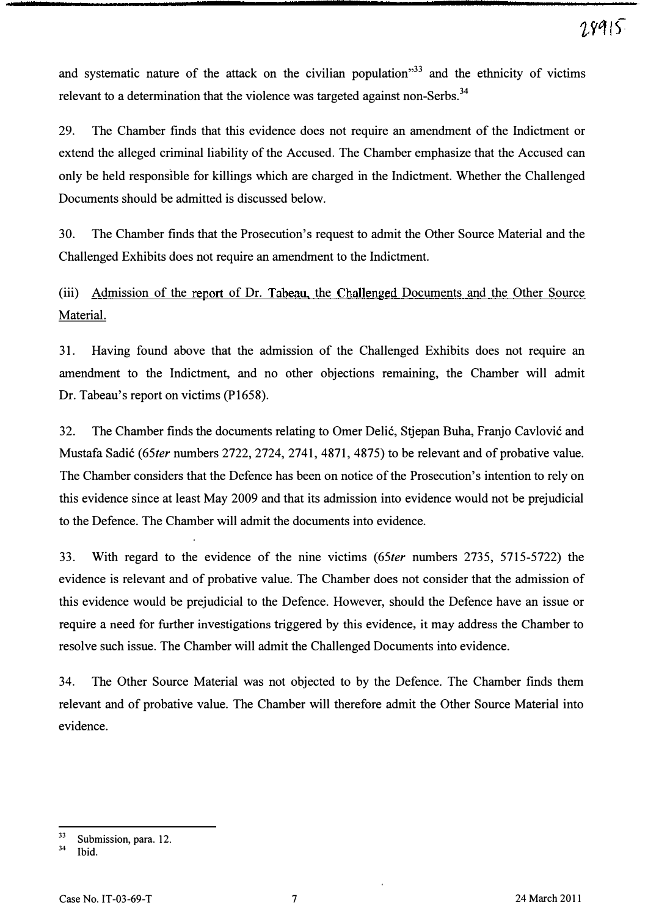and systematic nature of the attack on the civilian population<sup> $33$ </sup> and the ethnicity of victims relevant to a determination that the violence was targeted against non-Serbs.<sup>34</sup>

29. The Chamber finds that this evidence does not require an amendment of the Indictment or extend the alleged criminal liability of the Accused. The Chamber emphasize that the Accused can only be held responsible for killings which are charged in the Indictment. Whether the Challenged Documents should be admitted is discussed below.

30. The Chamber finds that the Prosecution's request to admit the Other Source Material and the Challenged Exhibits does not require an amendment to the Indictment.

(iii) Admission of the report of Dr. Tabeau, the Challenged Documents and the Other Source Material.

31. Having found above that the admission of the Challenged Exhibits does not require an amendment to the Indictment, and no other objections remaining, the Chamber will admit Dr. Tabeau's report on victims (PI658).

32. The Chamber finds the documents relating to Omer Delić, Stjepan Buha, Franjo Cavlović and Mustafa Sadić (65ter numbers 2722, 2724, 2741, 4871, 4875) to be relevant and of probative value. The Chamber considers that the Defence has been on notice of the Prosecution's intention to rely on this evidence since at least May 2009 and that its admission into evidence would not be prejudicial to the Defence. The Chamber will admit the documents into evidence.

33. With regard to the evidence of the nine victims (65ter numbers 2735, 5715-5722) the evidence is relevant and of probative value. The Chamber does not consider that the admission of this evidence would be prejudicial to the Defence. However, should the Defence have an issue or require a need for further investigations triggered by this evidence, it may address the Chamber to resolve such issue. The Chamber will admit the Challenged Documents into evidence.

34. The Other Source Material was not objected to by the Defence. The Chamber finds them relevant and of probative value. The Chamber will therefore admit the Other Source Material into evidence.

 $33\atop{}34$  Submission, para. 12.

Ibid.